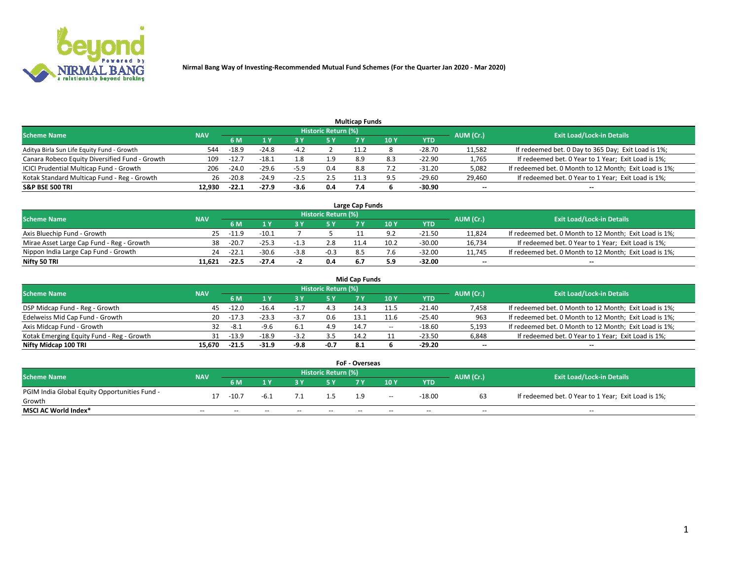

| <b>Multicap Funds</b>                          |            |         |         |        |                     |     |     |          |           |                                                        |  |  |  |  |
|------------------------------------------------|------------|---------|---------|--------|---------------------|-----|-----|----------|-----------|--------------------------------------------------------|--|--|--|--|
| Scheme Name                                    | <b>NAV</b> |         |         |        | Historic Return (%) |     |     |          | AUM (Cr.) | <b>Exit Load/Lock-in Details</b>                       |  |  |  |  |
|                                                |            | 6 M     |         |        | 5 Y                 | 7 Y | 10Y | YTD      |           |                                                        |  |  |  |  |
| Aditya Birla Sun Life Equity Fund - Growth     | 544        | $-18.9$ | $-24.8$ |        |                     |     |     | -28.70   | 11,582    | If redeemed bet. 0 Day to 365 Day; Exit Load is 1%;    |  |  |  |  |
| Canara Robeco Equity Diversified Fund - Growth | 109        | $-12.7$ | $-18.1$ | 1.8    | 1.9                 | 8.9 | 8.3 | $-22.90$ | 1,765     | If redeemed bet. 0 Year to 1 Year; Exit Load is 1%;    |  |  |  |  |
| ICICI Prudential Multicap Fund - Growth        | 206        | $-24.0$ | $-29.6$ | $-5.9$ | 0.4                 | 8.8 |     | -31.20   | 5,082     | If redeemed bet. 0 Month to 12 Month; Exit Load is 1%; |  |  |  |  |
| Kotak Standard Multicap Fund - Reg - Growth    | 26         | $-20.8$ | $-24.9$ | -2.5   | 2.5                 |     |     | -29.60   | 29,460    | If redeemed bet. 0 Year to 1 Year; Exit Load is 1%;    |  |  |  |  |
| <b>S&amp;P BSE 500 TRI</b>                     | 12.930     | $-22.1$ | $-27.9$ | $-3.6$ | 0.4                 | 7.4 |     | -30.90   | $\sim$    | $- -$                                                  |  |  |  |  |

| Large Cap Funds                           |                                                               |         |         |        |        |     |      |        |        |                                                        |  |  |  |  |
|-------------------------------------------|---------------------------------------------------------------|---------|---------|--------|--------|-----|------|--------|--------|--------------------------------------------------------|--|--|--|--|
|                                           | Historic Return (%)<br>AUM (Cr.)<br>Scheme Name<br><b>NAV</b> |         |         |        |        |     |      |        |        |                                                        |  |  |  |  |
|                                           |                                                               | 6 M     |         |        | 5 Y    |     | 10Y  | YTD    |        | <b>Exit Load/Lock-in Details</b>                       |  |  |  |  |
| Axis Bluechip Fund - Growth               | 25                                                            | $-11.9$ | $-10.1$ |        |        |     |      | -21.50 | 11,824 | If redeemed bet. 0 Month to 12 Month; Exit Load is 1%; |  |  |  |  |
| Mirae Asset Large Cap Fund - Reg - Growth | 38                                                            | $-20.7$ | $-25.3$ | $-1$   | 2.8    |     | 10.2 | -30.00 | 16,734 | If redeemed bet. 0 Year to 1 Year; Exit Load is 1%;    |  |  |  |  |
| Nippon India Large Cap Fund - Growth      | 24                                                            | $-22.1$ | $-30.6$ | $-3.8$ | $-0.3$ | 8.5 |      | -32.00 | 11,745 | If redeemed bet. 0 Month to 12 Month; Exit Load is 1%; |  |  |  |  |
| Nifty 50 TRI                              | 11.621                                                        | $-22.5$ | $-27.4$ | $\sim$ | 0.4    |     |      | -32.00 | $\sim$ | $\sim$                                                 |  |  |  |  |

| <b>Mid Cap Funds</b>                      |            |         |         |        |                     |      |        |            |           |                                                        |  |  |  |  |
|-------------------------------------------|------------|---------|---------|--------|---------------------|------|--------|------------|-----------|--------------------------------------------------------|--|--|--|--|
| <b>Scheme Name</b>                        | <b>NAV</b> |         |         |        | Historic Return (%) |      |        |            | AUM (Cr.) | <b>Exit Load/Lock-in Details</b>                       |  |  |  |  |
|                                           |            | 6 M     | 1 Y     |        |                     |      | 10Y    | <b>YTD</b> |           |                                                        |  |  |  |  |
| DSP Midcap Fund - Reg - Growth            | 45         | $-12.0$ | $-16.4$ |        |                     | 14.3 |        | $-21.40$   | 7,458     | If redeemed bet. 0 Month to 12 Month; Exit Load is 1%; |  |  |  |  |
| Edelweiss Mid Cap Fund - Growth           | 20.        | -17.3   | $-23.3$ | -3.,   | 0.6                 | 13.1 |        | $-25.40$   | 963       | If redeemed bet. 0 Month to 12 Month; Exit Load is 1%; |  |  |  |  |
| Axis Midcap Fund - Growth                 | 32         | -8.1    | $-9.6$  |        | 4.9                 | 14.7 | $\sim$ | $-18.60$   | 5,193     | If redeemed bet. 0 Month to 12 Month; Exit Load is 1%; |  |  |  |  |
| Kotak Emerging Equity Fund - Reg - Growth |            | $-13.9$ | -18.9   | $-3.2$ | 3.5                 | 14.2 |        | $-23.50$   | 6,848     | If redeemed bet. 0 Year to 1 Year; Exit Load is 1%;    |  |  |  |  |
| Nifty Midcap 100 TRI                      | 15.670     | $-21.5$ | $-31.9$ | -9.8   | -0.7                | 8.1  |        | $-29.20$   | $\sim$    | $\overline{\phantom{a}}$                               |  |  |  |  |

| <b>FoF - Overseas</b>                         |            |                                         |       |                                  |       |       |       |            |       |                                                     |  |  |  |  |
|-----------------------------------------------|------------|-----------------------------------------|-------|----------------------------------|-------|-------|-------|------------|-------|-----------------------------------------------------|--|--|--|--|
| <b>Scheme Name</b>                            | <b>NAV</b> | <b>Historic Return (%)</b><br>AUM (Cr.) |       | <b>Exit Load/Lock-in Details</b> |       |       |       |            |       |                                                     |  |  |  |  |
|                                               |            | 6 M                                     |       |                                  |       |       | 10Y   | <b>YTD</b> |       |                                                     |  |  |  |  |
| PGIM India Global Equity Opportunities Fund - |            | $-10.7$                                 |       |                                  |       | 1.9   | $- -$ | $-18.00$   |       | If redeemed bet. 0 Year to 1 Year; Exit Load is 1%; |  |  |  |  |
| Growth                                        |            |                                         | -6.1  |                                  |       |       |       |            |       |                                                     |  |  |  |  |
| <b>MSCI AC World Index*</b>                   | $- -$      | $- -$                                   | $- -$ | $- -$                            | $- -$ | $- -$ | $- -$ | --         | $- -$ | $- -$                                               |  |  |  |  |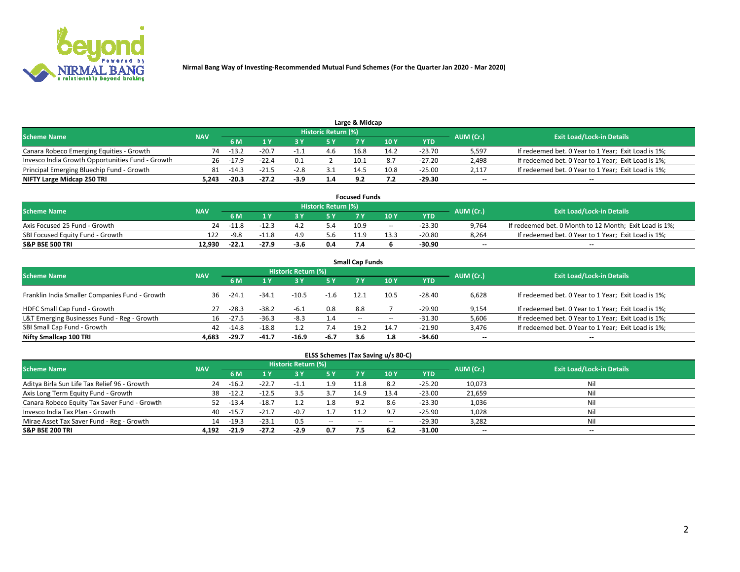

| Large & Midcap                                                                                           |       |         |         |        |               |      |      |          |                          |                                                     |  |  |  |  |
|----------------------------------------------------------------------------------------------------------|-------|---------|---------|--------|---------------|------|------|----------|--------------------------|-----------------------------------------------------|--|--|--|--|
| Historic Return (%)<br><b>Exit Load/Lock-in Details</b><br>AUM (Cr.)<br><b>Scheme Name</b><br><b>NAV</b> |       |         |         |        |               |      |      |          |                          |                                                     |  |  |  |  |
|                                                                                                          |       | 6 M     |         |        |               |      | 10Y  | YTD      |                          |                                                     |  |  |  |  |
| Canara Robeco Emerging Equities - Growth                                                                 | 74    | $-13.2$ | $-20.7$ |        | 4.6           | 16.8 | 14.2 | $-23.70$ | 5,597                    | If redeemed bet. 0 Year to 1 Year; Exit Load is 1%; |  |  |  |  |
| Invesco India Growth Opportunities Fund - Growth                                                         | 26.   | $-17.9$ | $-22.4$ |        |               | 10.1 | 8.7  | $-27.20$ | 2,498                    | If redeemed bet. 0 Year to 1 Year; Exit Load is 1%; |  |  |  |  |
| Principal Emerging Bluechip Fund - Growth                                                                | 81    | -14.3   |         | $-2.8$ | ـ . ـ         | 14.5 | 10.8 | $-25.00$ | 2,117                    | If redeemed bet. 0 Year to 1 Year; Exit Load is 1%; |  |  |  |  |
| NIFTY Large Midcap 250 TRI                                                                               | 5.243 | $-20.3$ | $-27.2$ | -3.9   | $1.4^{\circ}$ | ດາ   |      | -29.30   | $\overline{\phantom{a}}$ | $-$                                                 |  |  |  |  |

| <b>Focused Funds</b>             |            |         |         |      |                     |                 |                 |          |           |                                                        |  |  |  |
|----------------------------------|------------|---------|---------|------|---------------------|-----------------|-----------------|----------|-----------|--------------------------------------------------------|--|--|--|
| <b>Scheme Name</b>               | <b>NAV</b> |         |         |      | Historic Return (%) |                 |                 |          |           | <b>Exit Load/Lock-in Details</b>                       |  |  |  |
|                                  |            | 6 M     |         |      |                     |                 | 10 Y            | YTD      | AUM (Cr.) |                                                        |  |  |  |
| Axis Focused 25 Fund - Growth    | 24         | $-11.8$ | $-12.3$ |      | 5.4                 | 10.9            | $- -$           | $-23.30$ | 9,764     | If redeemed bet. 0 Month to 12 Month; Exit Load is 1%; |  |  |  |
| SBI Focused Equity Fund - Growth | 122        | $-9.8$  |         |      | 5.6                 | 11 <sub>0</sub> | 13 <sup>2</sup> | $-20.80$ | 8.264     | If redeemed bet. 0 Year to 1 Year; Exit Load is 1%;    |  |  |  |
| <b>S&amp;P BSE 500 TRI</b>       | 12.930     | $-22.1$ | $-27.9$ | -3.0 | 0.4                 |                 |                 | -30.90   | $\sim$    | $- -$                                                  |  |  |  |

|                                                |            |         |         |                     |        | <b>Small Cap Funds</b> |       |            |           |                                                     |
|------------------------------------------------|------------|---------|---------|---------------------|--------|------------------------|-------|------------|-----------|-----------------------------------------------------|
| <b>Scheme Name</b>                             | <b>NAV</b> |         |         | Historic Return (%) |        |                        |       |            | AUM (Cr.) | <b>Exit Load/Lock-in Details</b>                    |
|                                                |            | 6 M     |         |                     | 5 Y    |                        | 10Y   | <b>YTD</b> |           |                                                     |
| Franklin India Smaller Companies Fund - Growth | 36         | $-24.1$ | $-34.1$ | $-10.5$             | $-1.6$ | 12.1                   | 10.5  | $-28.40$   | 6.628     | If redeemed bet. 0 Year to 1 Year; Exit Load is 1%; |
| HDFC Small Cap Fund - Growth                   | 27         | $-28.3$ | $-38.2$ | $-6.1$              | 0.8    | 8.8                    |       | $-29.90$   | 9,154     | If redeemed bet. 0 Year to 1 Year; Exit Load is 1%; |
| L&T Emerging Businesses Fund - Reg - Growth    | 16         | $-27.5$ | $-36.3$ | $-8.3$              | 1.4    | $- -$                  | $- -$ | $-31.30$   | 5,606     | If redeemed bet. 0 Year to 1 Year; Exit Load is 1%; |
| SBI Small Cap Fund - Growth                    | 42         | $-14.8$ | $-18.8$ |                     |        | 19.2                   | 14.7  | $-21.90$   | 3,476     | If redeemed bet. 0 Year to 1 Year; Exit Load is 1%; |
| Nifty Smallcap 100 TRI                         | 4.683      | $-29.7$ | -41.7   | $-16.9$             | $-6.7$ | 3.6                    | 1.8   | -34.60     | $\sim$    | $- -$                                               |

## **ELSS Schemes (Tax Saving u/s 80-C)**

| <b>Scheme Name</b>                           | <b>NAV</b> |         |         | <b>Historic Return (%)</b> |               |                          |      |          | AUM (Cr.) | <b>Exit Load/Lock-in Details</b> |
|----------------------------------------------|------------|---------|---------|----------------------------|---------------|--------------------------|------|----------|-----------|----------------------------------|
|                                              |            | 6 M     | 1 Y     | 73 Y                       | <b>5Y</b>     | 7 Y                      | 10Y  | YTD      |           |                                  |
| Aditya Birla Sun Life Tax Relief 96 - Growth | 24         | $-16.2$ | $-22.7$ | -1.1                       | .9.           |                          | 8.2  | $-25.20$ | 10,073    | Nil                              |
| Axis Long Term Equity Fund - Growth          | 38         | $-12.2$ | $-12.5$ |                            |               | 14.9                     | 13.4 | $-23.00$ | 21,659    | Nil                              |
| Canara Robeco Equity Tax Saver Fund - Growth | 52         | $-13.4$ | $-18.7$ |                            | 1.8           | 9.2                      |      | $-23.30$ | 1,036     | Nil                              |
| Invesco India Tax Plan - Growth              | 40         | $-15.7$ | $-21.7$ |                            |               | 11 <sup>1</sup>          | ο    | -25.90   | 1,028     | Nil                              |
| Mirae Asset Tax Saver Fund - Reg - Growth    | 14         | $-19.3$ | $-23.1$ | 0.5                        | $\sim$ $\sim$ | $\overline{\phantom{a}}$ | --   | $-29.30$ | 3,282     | Nil                              |
| <b>S&amp;P BSE 200 TRI</b>                   | 4.192      | $-21.9$ | $-27.2$ | $-2.9$                     | 0.7           |                          | 6.2  | $-31.00$ | $\sim$    | $- -$                            |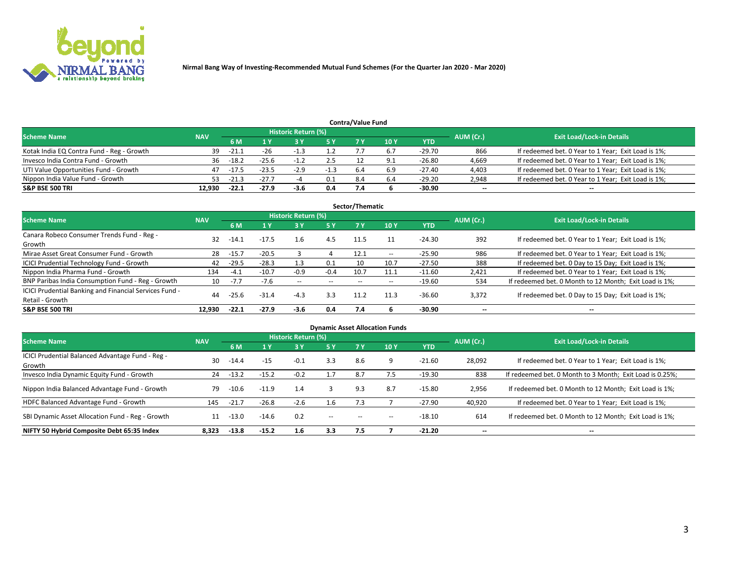

| <b>Contra/Value Fund</b>                                                                                        |        |         |         |        |        |     |                 |            |        |                                                     |  |  |  |  |
|-----------------------------------------------------------------------------------------------------------------|--------|---------|---------|--------|--------|-----|-----------------|------------|--------|-----------------------------------------------------|--|--|--|--|
| <b>Historic Return (%)</b><br><b>Exit Load/Lock-in Details</b><br>AUM (Cr.)<br><b>Scheme Name</b><br><b>NAV</b> |        |         |         |        |        |     |                 |            |        |                                                     |  |  |  |  |
|                                                                                                                 |        | 6 M     |         |        | 5 Y    |     | 10 <sub>Y</sub> | <b>YTD</b> |        |                                                     |  |  |  |  |
| Kotak India EQ Contra Fund - Reg - Growth                                                                       | 39     | -21.1   | $-26$   | -1.3   | 1.2    |     |                 | $-29.70$   | 866    | If redeemed bet. 0 Year to 1 Year; Exit Load is 1%; |  |  |  |  |
| Invesco India Contra Fund - Growth                                                                              | 36     | $-18.2$ | $-25.6$ | $-1.2$ | 2.5    |     | - Q 1           | $-26.80$   | 4,669  | If redeemed bet. 0 Year to 1 Year; Exit Load is 1%; |  |  |  |  |
| UTI Value Opportunities Fund - Growth                                                                           | 47     | -17.5   | $-23.5$ | $-2.9$ | $-1.3$ | 6.4 | ó.9             | -27.40     | 4,403  | If redeemed bet. 0 Year to 1 Year; Exit Load is 1%; |  |  |  |  |
| Nippon India Value Fund - Growth                                                                                | 53     | $-21.3$ | -27.7   |        | 0.1    | 8.4 | 6.4             | -29.20     | 2,948  | If redeemed bet. 0 Year to 1 Year; Exit Load is 1%; |  |  |  |  |
| S&P BSE 500 TRI                                                                                                 | 12.930 | $-22.1$ | -27.9   | -3.6   | 0.4    |     |                 | -30.90     | $\sim$ | --                                                  |  |  |  |  |

|                                                                           |            |         |         |                          |        | Sector/Thematic |                          |            |                          |                                                        |
|---------------------------------------------------------------------------|------------|---------|---------|--------------------------|--------|-----------------|--------------------------|------------|--------------------------|--------------------------------------------------------|
| <b>Scheme Name</b>                                                        | <b>NAV</b> |         |         | Historic Return (%)      |        |                 |                          |            | AUM (Cr.)                | <b>Exit Load/Lock-in Details</b>                       |
|                                                                           |            | 6 M     | 1 Y     | 73 Y                     | 15 Y   | 7 Y             | 10Y                      | <b>YTD</b> |                          |                                                        |
| Canara Robeco Consumer Trends Fund - Reg -<br>Growth                      | 32         | $-14.1$ | $-17.5$ | 1.6                      | 4.5    | 11.5            |                          | $-24.30$   | 392                      | If redeemed bet. 0 Year to 1 Year; Exit Load is 1%;    |
| Mirae Asset Great Consumer Fund - Growth                                  | 28         | $-15.7$ | $-20.5$ |                          |        | 12.1            | $\overline{\phantom{a}}$ | $-25.90$   | 986                      | If redeemed bet. 0 Year to 1 Year; Exit Load is 1%;    |
| ICICI Prudential Technology Fund - Growth                                 | 42         | $-29.5$ | $-28.3$ | 1.3                      | 0.1    |                 | 10.7                     | $-27.50$   | 388                      | If redeemed bet. 0 Day to 15 Day; Exit Load is 1%;     |
| Nippon India Pharma Fund - Growth                                         | 134        | $-4.1$  | $-10.7$ | $-0.9$                   | $-0.4$ | 10.7            | 11.1                     | $-11.60$   | 2,421                    | If redeemed bet. 0 Year to 1 Year; Exit Load is 1%;    |
| BNP Paribas India Consumption Fund - Reg - Growth                         | 10         | $-7.7$  | $-7.6$  | $\overline{\phantom{m}}$ | $- -$  | $- -$           | $- -$                    | $-19.60$   | 534                      | If redeemed bet. 0 Month to 12 Month; Exit Load is 1%; |
| ICICI Prudential Banking and Financial Services Fund -<br>Retail - Growth | 44         | $-25.6$ | $-31.4$ | $-4.3$                   | 3.3    | 11.2            | 11.3                     | $-36.60$   | 3,372                    | If redeemed bet. 0 Day to 15 Day; Exit Load is 1%;     |
| <b>S&amp;P BSE 500 TRI</b>                                                | 12.930     | $-22.1$ | $-27.9$ | -3.6                     | 0.4    | 7.4             |                          | -30.90     | $\overline{\phantom{a}}$ | $- -$                                                  |

|                                                            |            |         |         |                     |        |           | <b>Dynamic Asset Allocation Funds</b> |            |                          |                                                          |
|------------------------------------------------------------|------------|---------|---------|---------------------|--------|-----------|---------------------------------------|------------|--------------------------|----------------------------------------------------------|
| <b>Scheme Name</b>                                         | <b>NAV</b> |         |         | Historic Return (%) |        |           |                                       |            | AUM (Cr.)                | <b>Exit Load/Lock-in Details</b>                         |
|                                                            |            | 6 M     |         | 73 Y                | 5 Y    | <b>7Y</b> | 10Y                                   | <b>YTD</b> |                          |                                                          |
| ICICI Prudential Balanced Advantage Fund - Reg -<br>Growth | 30         | $-14.4$ | $-15$   | $-0.1$              | 3.3    | 8.6       |                                       | $-21.60$   | 28,092                   | If redeemed bet. 0 Year to 1 Year; Exit Load is 1%;      |
| Invesco India Dynamic Equity Fund - Growth                 | 24         | $-13.2$ | $-15.2$ | $-0.2$              |        | 8.7       |                                       | $-19.30$   | 838                      | If redeemed bet. 0 Month to 3 Month; Exit Load is 0.25%; |
| Nippon India Balanced Advantage Fund - Growth              | 79         | $-10.6$ | $-11.9$ | 1.4                 |        | 9.3       | 8.7                                   | $-15.80$   | 2,956                    | If redeemed bet. 0 Month to 12 Month; Exit Load is 1%;   |
| HDFC Balanced Advantage Fund - Growth                      | 145        | $-21.7$ | $-26.8$ | $-2.6$              | 1.6    | 7.3       |                                       | $-27.90$   | 40,920                   | If redeemed bet. 0 Year to 1 Year; Exit Load is 1%;      |
| SBI Dynamic Asset Allocation Fund - Reg - Growth           | 11         | $-13.0$ | $-14.6$ | 0.2                 | $\sim$ | --        | --                                    | $-18.10$   | 614                      | If redeemed bet. 0 Month to 12 Month; Exit Load is 1%;   |
| NIFTY 50 Hybrid Composite Debt 65:35 Index                 | 8,323      | $-13.8$ | $-15.2$ | 1.6                 | 3.3    | 7.5       |                                       | $-21.20$   | $\overline{\phantom{a}}$ | $- -$                                                    |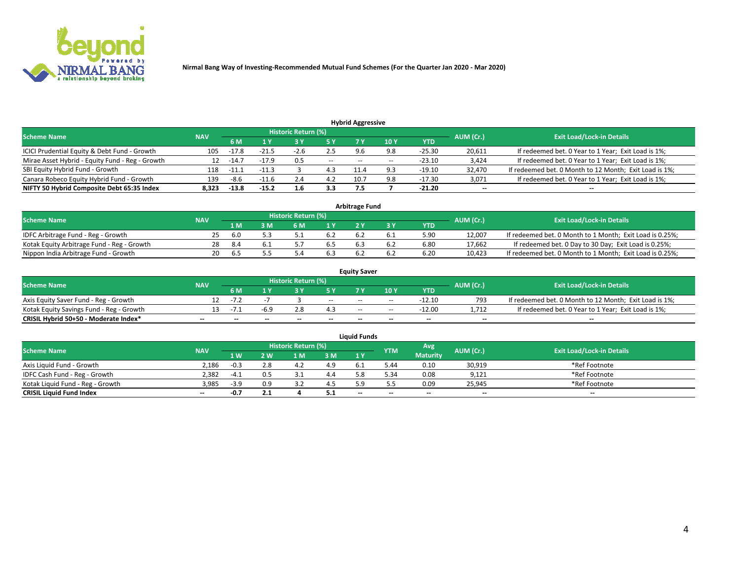

|                                                                                                          |       |         |         |      |       | <b>Hybrid Aggressive</b> |      |            |        |                                                        |  |  |  |  |
|----------------------------------------------------------------------------------------------------------|-------|---------|---------|------|-------|--------------------------|------|------------|--------|--------------------------------------------------------|--|--|--|--|
| Historic Return (%)<br><b>Exit Load/Lock-in Details</b><br>AUM (Cr.)<br><b>Scheme Name</b><br><b>NAV</b> |       |         |         |      |       |                          |      |            |        |                                                        |  |  |  |  |
|                                                                                                          |       | 6 M     | 1 Y     |      | 5 Y   |                          | 10 Y | <b>YTD</b> |        |                                                        |  |  |  |  |
| ICICI Prudential Equity & Debt Fund - Growth                                                             | 105   | $-17.8$ | $-21.5$ | -2.6 | 2.5   | 9.6                      | 9.8  | $-25.30$   | 20,611 | If redeemed bet. 0 Year to 1 Year; Exit Load is 1%;    |  |  |  |  |
| Mirae Asset Hybrid - Equity Fund - Reg - Growth                                                          | 12    | $-14.7$ | $-17.9$ | 0.5  | $- -$ | $- -$                    |      | $-23.10$   | 3,424  | If redeemed bet. 0 Year to 1 Year; Exit Load is 1%;    |  |  |  |  |
| SBI Equity Hybrid Fund - Growth                                                                          | 118   | -11.1   | $-11.3$ |      | 4.3   | 11.4                     |      | $-19.10$   | 32,470 | If redeemed bet. 0 Month to 12 Month; Exit Load is 1%; |  |  |  |  |
| Canara Robeco Equity Hybrid Fund - Growth                                                                | 139   | -8.t    | $-11.6$ | 2.4  | 4.2   | 10.7                     | 9.8  | $-17.30$   | 3,071  | If redeemed bet. 0 Year to 1 Year; Exit Load is 1%;    |  |  |  |  |
| NIFTY 50 Hybrid Composite Debt 65:35 Index                                                               | 8.323 | $-13.8$ | $-15.2$ | 1.6  | 3.3   | 7.5                      |      | $-21.20$   | $\sim$ | $- -$                                                  |  |  |  |  |

|                                            |            |           |                                  |     |     | <b>Arbitrage Fund</b> |            |        |                                                          |
|--------------------------------------------|------------|-----------|----------------------------------|-----|-----|-----------------------|------------|--------|----------------------------------------------------------|
| <b>Scheme Name</b>                         | <b>NAV</b> | AUM (Cr.) | <b>Exit Load/Lock-in Details</b> |     |     |                       |            |        |                                                          |
|                                            |            | 1 M       | } M                              | 6 M |     |                       | <b>YTD</b> |        |                                                          |
| IDFC Arbitrage Fund - Reg - Growth         | 25         | -6.0      |                                  |     | 6.2 |                       | 5.90       | 12,007 | If redeemed bet. 0 Month to 1 Month; Exit Load is 0.25%; |
| Kotak Equity Arbitrage Fund - Reg - Growth | 28         | -8.4      |                                  |     |     |                       | 6.80       | 17,662 | If redeemed bet. 0 Day to 30 Day; Exit Load is 0.25%;    |
| Nippon India Arbitrage Fund - Growth       | 20         | 6.5       |                                  |     | b.3 |                       | 6.20       | 10,423 | If redeemed bet. 0 Month to 1 Month; Exit Load is 0.25%; |

|                                          |            |           |                                  |                          |                          | <b>Equity Saver</b> |               |            |                          |                                                        |
|------------------------------------------|------------|-----------|----------------------------------|--------------------------|--------------------------|---------------------|---------------|------------|--------------------------|--------------------------------------------------------|
| Scheme Name                              | <b>NAV</b> | AUM (Cr.) | <b>Exit Load/Lock-in Details</b> |                          |                          |                     |               |            |                          |                                                        |
|                                          |            | 6 M       |                                  |                          | 5 Y                      |                     | $\sqrt{10}$ Y | <b>YTD</b> |                          |                                                        |
| Axis Equity Saver Fund - Reg - Growth    |            | $-1$      |                                  |                          | $\sim$                   | $- -$               | $- -$         | $-12.10$   | 793                      | If redeemed bet. 0 Month to 12 Month; Exit Load is 1%; |
| Kotak Equity Savings Fund - Reg - Growth |            | $-1$      |                                  |                          | 4.3                      | $- -$               | $- -$         | $-12.00$   | 1.712                    | If redeemed bet. 0 Year to 1 Year; Exit Load is 1%;    |
| CRISIL Hybrid 50+50 - Moderate Index*    |            | $- -$     | $-$                              | $\overline{\phantom{a}}$ | $\overline{\phantom{a}}$ | $\sim$              | --            | $\sim$     | $\overline{\phantom{a}}$ | $- -$                                                  |

| <b>Liquid Funds</b>              |            |        |     |                            |     |                          |            |                 |           |                                  |  |  |  |  |
|----------------------------------|------------|--------|-----|----------------------------|-----|--------------------------|------------|-----------------|-----------|----------------------------------|--|--|--|--|
| Scheme Name                      | <b>NAV</b> |        |     | <b>Historic Return (%)</b> |     |                          | <b>YTM</b> | Avg             | AUM (Cr.) | <b>Exit Load/Lock-in Details</b> |  |  |  |  |
|                                  |            | 1 W.   | 2 W | 1 M                        | 3M  | 71 Y                     |            | <b>Maturity</b> |           |                                  |  |  |  |  |
| Axis Liquid Fund - Growth        | 2,186      | $-0.3$ |     |                            | 4.9 |                          | 44.ز       | 0.10            | 30,919    | *Ref Footnote                    |  |  |  |  |
| IDFC Cash Fund - Reg - Growth    | 2.382      | $-4.1$ | 0.5 |                            | 4.4 |                          | 5.34       | 0.08            | 9,121     | *Ref Footnote                    |  |  |  |  |
| Kotak Liquid Fund - Reg - Growth | 3,985      | $-3.9$ | 0.9 |                            | 4.5 |                          |            | 0.09            | 25,945    | *Ref Footnote                    |  |  |  |  |
| <b>CRISIL Liquid Fund Index</b>  | $\sim$     | 0.7    | 2.1 |                            | 5.1 | $\overline{\phantom{a}}$ | $- -$      | $\sim$          | $\sim$    | $\sim$                           |  |  |  |  |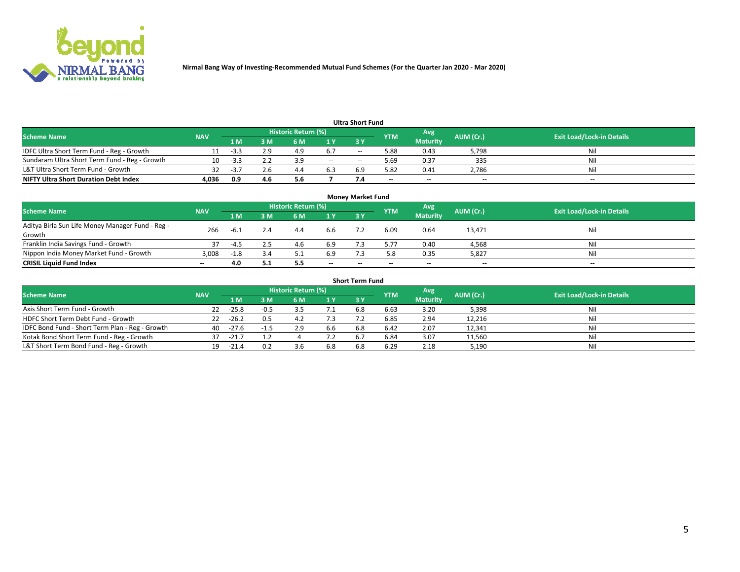

| <b>Ultra Short Fund</b>                       |            |      |     |                     |        |     |            |                 |           |                                  |  |  |  |
|-----------------------------------------------|------------|------|-----|---------------------|--------|-----|------------|-----------------|-----------|----------------------------------|--|--|--|
| <b>Scheme Name</b>                            | <b>NAV</b> |      |     | Historic Return (%) |        |     | <b>YTM</b> | Avg             | AUM (Cr.) | <b>Exit Load/Lock-in Details</b> |  |  |  |
|                                               |            | 1 M  | 3 M | 6 M                 | 1 Y    | 3 Y |            | <b>Maturity</b> |           |                                  |  |  |  |
| IDFC Ultra Short Term Fund - Reg - Growth     |            | -3.3 | 2.9 | 4.9                 | 6.7    | $-$ | 5.88       | 0.43            | 5,798     | Nil                              |  |  |  |
| Sundaram Ultra Short Term Fund - Reg - Growth |            | -3.3 |     |                     | $\sim$ | --  | .69 د      | 0.37            | 335       | Nil                              |  |  |  |
| L&T Ultra Short Term Fund - Growth            | 32         | - 3  | 2.6 | -4.5                | 6.3    | 69  | 5.82       | 0.41            | 2,786     | Nil                              |  |  |  |
| <b>NIFTY Ultra Short Duration Debt Index</b>  | 4,036      | 0.9  | 4.6 | 5.6                 |        |     | $\sim$     | $-$             | $- -$     | $- -$                            |  |  |  |

| <b>Money Market Fund</b>                                   |            |        |     |                     |        |    |            |                 |           |                                  |  |  |  |
|------------------------------------------------------------|------------|--------|-----|---------------------|--------|----|------------|-----------------|-----------|----------------------------------|--|--|--|
| <b>Scheme Name</b>                                         | <b>NAV</b> |        |     | Historic Return (%) |        |    | <b>YTM</b> | 'Avg            | AUM (Cr.) | <b>Exit Load/Lock-in Details</b> |  |  |  |
|                                                            |            | 1 M    | 3 M | 6 M                 | 1 Y    | 3Y |            | <b>Maturity</b> |           |                                  |  |  |  |
| Aditya Birla Sun Life Money Manager Fund - Reg -<br>Growth | 266        | -6.1   |     | 4.4                 | 6.6    |    | 6.09       | 0.64            | 13,471    | Nil                              |  |  |  |
| Franklin India Savings Fund - Growth                       | 37         | $-4.5$ |     | 4.6                 | 6.9    |    | 5.77       | 0.40            | 4,568     | Nil                              |  |  |  |
| Nippon India Money Market Fund - Growth                    | 3,008      | $-1.8$ | 3.4 |                     | 6.9    |    | 5.8        | 0.35            | 5,827     | Nil                              |  |  |  |
| <b>CRISIL Liquid Fund Index</b>                            | $- -$      | 4.0    | 5.1 |                     | $\sim$ | -- | --         | $\sim$          | $\sim$    | $\sim$                           |  |  |  |

| <b>Short Term Fund</b>                          |            |         |        |                     |     |            |            |                 |           |                                  |  |  |  |  |
|-------------------------------------------------|------------|---------|--------|---------------------|-----|------------|------------|-----------------|-----------|----------------------------------|--|--|--|--|
| <b>Scheme Name</b>                              | <b>NAV</b> |         |        | Historic Return (%) |     |            | <b>YTM</b> | Avg             | AUM (Cr.) | <b>Exit Load/Lock-in Details</b> |  |  |  |  |
|                                                 |            | 1 M     | 3 M    | 6 M                 | 1 Y | <b>3 Y</b> |            | <b>Maturity</b> |           |                                  |  |  |  |  |
| Axis Short Term Fund - Growth                   | 22         | $-25.8$ | $-0.5$ |                     |     | 6.8        | 6.63       | 3.20            | 5,398     | Nil                              |  |  |  |  |
| HDFC Short Term Debt Fund - Growth              | 22         | $-26.2$ | 0.5    | 4.2                 | 7.3 |            | 6.85       | 2.94            | 12,216    | Nil                              |  |  |  |  |
| IDFC Bond Fund - Short Term Plan - Reg - Growth | 40         | $-27.6$ |        |                     | 6.6 | 6.8        | 6.42       | 2.07            | 12,341    | Nil                              |  |  |  |  |
| Kotak Bond Short Term Fund - Reg - Growth       | 37         | $-21.7$ |        |                     | 7.2 | 6.7        | 6.84       | 3.07            | 11,560    | Nil                              |  |  |  |  |
| L&T Short Term Bond Fund - Reg - Growth         | 19.        | $-21.4$ |        |                     | 6.8 |            | 6.29       | 2.18            | 5,190     | Nil                              |  |  |  |  |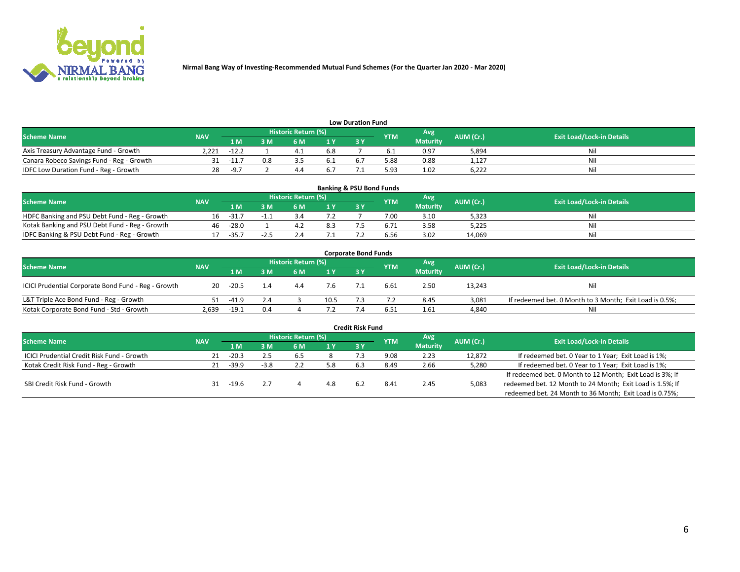

| <b>Low Duration Fund</b>                  |            |         |     |                     |                |     |            |                 |           |                                  |  |  |  |
|-------------------------------------------|------------|---------|-----|---------------------|----------------|-----|------------|-----------------|-----------|----------------------------------|--|--|--|
| <b>Scheme Name</b>                        | <b>NAV</b> |         |     | Historic Return (%) |                |     | <b>YTM</b> | Avg             | AUM (Cr.) | <b>Exit Load/Lock-in Details</b> |  |  |  |
|                                           |            | 1 M     | sм  | 6 M                 | 1 <sub>V</sub> | 3 Y |            | <b>Maturity</b> |           |                                  |  |  |  |
| Axis Treasury Advantage Fund - Growth     | 2.221      | $-12.2$ |     |                     | 6.8            |     |            | 0.97            | 5,894     | Nil                              |  |  |  |
| Canara Robeco Savings Fund - Reg - Growth |            | $-11.7$ | 0.8 |                     |                |     | 88.د       | 0.88            | 1,127     | Nil                              |  |  |  |
| IDFC Low Duration Fund - Reg - Growth     | 28         | $-97$   |     |                     |                |     | 5.93       | 1.02            | 6,222     | Nil                              |  |  |  |

| <b>Banking &amp; PSU Bond Funds</b>            |            |         |    |                            |     |           |            |                 |           |                                  |  |  |  |
|------------------------------------------------|------------|---------|----|----------------------------|-----|-----------|------------|-----------------|-----------|----------------------------------|--|--|--|
| <b>Scheme Name</b>                             | <b>NAV</b> |         |    | <b>Historic Return (%)</b> |     |           | <b>YTM</b> | Avg             | AUM (Cr.) | <b>Exit Load/Lock-in Details</b> |  |  |  |
|                                                |            | 1 M     | sм | 6 M                        |     | <b>3Y</b> |            | <b>Maturity</b> |           |                                  |  |  |  |
| HDFC Banking and PSU Debt Fund - Reg - Growth  | 1b         | $-31.$  |    |                            |     |           | 7.00       | 3.10            | 5,323     | Ni                               |  |  |  |
| Kotak Banking and PSU Debt Fund - Reg - Growth | 46         | $-28.0$ |    |                            | 8.3 |           |            | 3.58            | 5,225     | Ni                               |  |  |  |
| IDFC Banking & PSU Debt Fund - Reg - Growth    |            | $-35.7$ |    |                            |     |           | 6.56       | 3.02            | 14.069    | Ni                               |  |  |  |

| <b>Corporate Bond Funds</b>                         |            |         |     |                     |      |     |            |                 |           |                                                         |  |  |  |
|-----------------------------------------------------|------------|---------|-----|---------------------|------|-----|------------|-----------------|-----------|---------------------------------------------------------|--|--|--|
| <b>Scheme Name</b>                                  | <b>NAV</b> |         |     | Historic Return (%) |      |     | <b>YTM</b> | Avg             | AUM (Cr.) | <b>Exit Load/Lock-in Details</b>                        |  |  |  |
|                                                     |            | 1 M     | 8 M | 6 M                 | 1 Y  | 3 Y |            | <b>Maturity</b> |           |                                                         |  |  |  |
| ICICI Prudential Corporate Bond Fund - Reg - Growth | 20         | $-20.5$ | 1.4 | 4.4                 | 7.6  |     | 6.61       | 2.50            | 13,243    | Nil                                                     |  |  |  |
| L&T Triple Ace Bond Fund - Reg - Growth             |            | $-41.9$ | 2.4 |                     | 10.5 |     |            | 8.45            | 3,081     | If redeemed bet. 0 Month to 3 Month; Exit Load is 0.5%; |  |  |  |
| Kotak Corporate Bond Fund - Std - Growth            | 2,639      | $-19.1$ | 0.4 |                     |      |     | 6.51       | 1.61            | 4,840     | Nil                                                     |  |  |  |

| <b>Credit Risk Fund</b>                    |            |         |        |                     |     |     |            |                 |           |                                                           |  |  |
|--------------------------------------------|------------|---------|--------|---------------------|-----|-----|------------|-----------------|-----------|-----------------------------------------------------------|--|--|
| <b>Scheme Name</b>                         | <b>NAV</b> |         |        | Historic Return (%) |     |     | <b>YTM</b> | Avg             | AUM (Cr.) | <b>Exit Load/Lock-in Details</b>                          |  |  |
|                                            |            | 1 M     | I M    | 6 M                 | 1 Y | 3Y  |            | <b>Maturity</b> |           |                                                           |  |  |
| ICICI Prudential Credit Risk Fund - Growth |            | $-20.3$ | 2.5    | 6.5                 |     |     | 9.08       | 2.23            | 12,872    | If redeemed bet. 0 Year to 1 Year; Exit Load is 1%;       |  |  |
| Kotak Credit Risk Fund - Reg - Growth      |            | $-39.9$ | $-3.8$ |                     | 5.8 | 6.3 | 8.49       | 2.66            | 5,280     | If redeemed bet. 0 Year to 1 Year; Exit Load is 1%;       |  |  |
|                                            |            |         |        |                     |     |     |            |                 |           | If redeemed bet. 0 Month to 12 Month; Exit Load is 3%; If |  |  |
| SBI Credit Risk Fund - Growth              |            | -19.6   |        |                     | 4.8 |     | 8.4        | 2.45            | 5,083     | redeemed bet. 12 Month to 24 Month; Exit Load is 1.5%; If |  |  |
|                                            |            |         |        |                     |     |     |            |                 |           | redeemed bet. 24 Month to 36 Month; Exit Load is 0.75%;   |  |  |